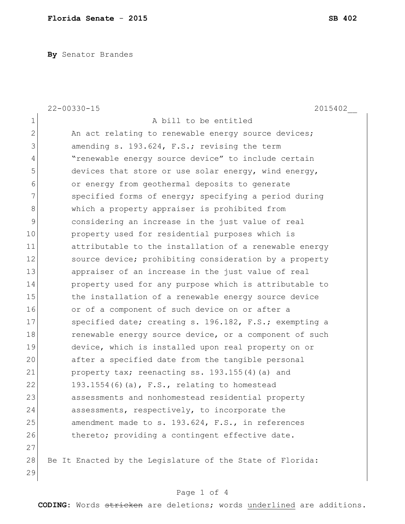**By** Senator Brandes

|                | $22 - 00330 - 15$<br>2015402                              |
|----------------|-----------------------------------------------------------|
| $\mathbf 1$    | A bill to be entitled                                     |
| $\overline{2}$ | An act relating to renewable energy source devices;       |
| 3              | amending s. 193.624, F.S.; revising the term              |
| 4              | "renewable energy source device" to include certain       |
| 5              | devices that store or use solar energy, wind energy,      |
| 6              | or energy from geothermal deposits to generate            |
| 7              | specified forms of energy; specifying a period during     |
| 8              | which a property appraiser is prohibited from             |
| $\mathsf 9$    | considering an increase in the just value of real         |
| 10             | property used for residential purposes which is           |
| 11             | attributable to the installation of a renewable energy    |
| 12             | source device; prohibiting consideration by a property    |
| 13             | appraiser of an increase in the just value of real        |
| 14             | property used for any purpose which is attributable to    |
| 15             | the installation of a renewable energy source device      |
| 16             | or of a component of such device on or after a            |
| 17             | specified date; creating s. 196.182, F.S.; exempting a    |
| 18             | renewable energy source device, or a component of such    |
| 19             | device, which is installed upon real property on or       |
| 20             | after a specified date from the tangible personal         |
| 21             | property tax; reenacting ss. 193.155(4) (a) and           |
| 22             | 193.1554(6)(a), $F.S.,$ relating to homestead             |
| 23             | assessments and nonhomestead residential property         |
| 24             | assessments, respectively, to incorporate the             |
| 25             | amendment made to s. 193.624, F.S., in references         |
| 26             | thereto; providing a contingent effective date.           |
| 27             |                                                           |
| 28             | Be It Enacted by the Legislature of the State of Florida: |
| 29             |                                                           |

## Page 1 of 4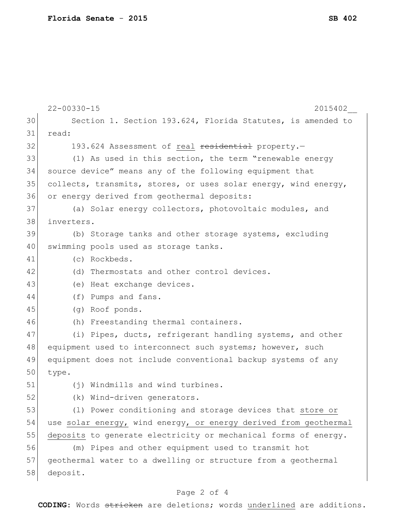|    | $22 - 00330 - 15$<br>2015402                                     |
|----|------------------------------------------------------------------|
| 30 | Section 1. Section 193.624, Florida Statutes, is amended to      |
| 31 | read:                                                            |
| 32 | 193.624 Assessment of real residential property.-                |
| 33 | (1) As used in this section, the term "renewable energy          |
| 34 | source device" means any of the following equipment that         |
| 35 | collects, transmits, stores, or uses solar energy, wind energy,  |
| 36 | or energy derived from geothermal deposits:                      |
| 37 | (a) Solar energy collectors, photovoltaic modules, and           |
| 38 | inverters.                                                       |
| 39 | (b) Storage tanks and other storage systems, excluding           |
| 40 | swimming pools used as storage tanks.                            |
| 41 | (c) Rockbeds.                                                    |
| 42 | (d) Thermostats and other control devices.                       |
| 43 | (e) Heat exchange devices.                                       |
| 44 | (f) Pumps and fans.                                              |
| 45 | (g) Roof ponds.                                                  |
| 46 | (h) Freestanding thermal containers.                             |
| 47 | (i) Pipes, ducts, refrigerant handling systems, and other        |
| 48 | equipment used to interconnect such systems; however, such       |
| 49 | equipment does not include conventional backup systems of any    |
| 50 | type.                                                            |
| 51 | (i) Windmills and wind turbines.                                 |
| 52 | (k) Wind-driven generators.                                      |
| 53 | (1) Power conditioning and storage devices that store or         |
| 54 | use solar energy, wind energy, or energy derived from geothermal |
| 55 | deposits to generate electricity or mechanical forms of energy.  |
| 56 | (m) Pipes and other equipment used to transmit hot               |
| 57 | geothermal water to a dwelling or structure from a geothermal    |
| 58 | deposit.                                                         |

## Page 2 of 4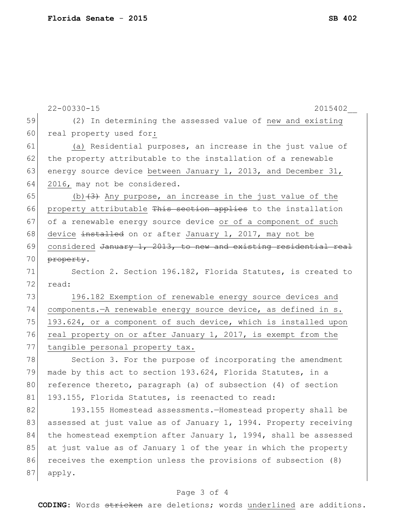|    | $22 - 00330 - 15$<br>2015402                                     |
|----|------------------------------------------------------------------|
| 59 | (2) In determining the assessed value of new and existing        |
| 60 | real property used for:                                          |
| 61 | (a) Residential purposes, an increase in the just value of       |
| 62 | the property attributable to the installation of a renewable     |
| 63 | energy source device between January 1, 2013, and December 31,   |
| 64 | 2016, may not be considered.                                     |
| 65 | (b) $(3)$ Any purpose, an increase in the just value of the      |
| 66 | property attributable This section applies to the installation   |
| 67 | of a renewable energy source device or of a component of such    |
| 68 | device installed on or after January 1, 2017, may not be         |
| 69 | considered January 1, 2013, to new and existing residential real |
| 70 | property.                                                        |
| 71 | Section 2. Section 196.182, Florida Statutes, is created to      |
| 72 | read:                                                            |
| 73 | 196.182 Exemption of renewable energy source devices and         |
| 74 | components.-A renewable energy source device, as defined in s.   |
| 75 | 193.624, or a component of such device, which is installed upon  |
| 76 | real property on or after January 1, 2017, is exempt from the    |
| 77 | tangible personal property tax.                                  |
| 78 | Section 3. For the purpose of incorporating the amendment        |
| 79 | made by this act to section 193.624, Florida Statutes, in a      |
| 80 | reference thereto, paragraph (a) of subsection (4) of section    |
| 81 | 193.155, Florida Statutes, is reenacted to read:                 |
| 82 | 193.155 Homestead assessments.-Homestead property shall be       |
| 83 | assessed at just value as of January 1, 1994. Property receiving |
| 84 | the homestead exemption after January 1, 1994, shall be assessed |
| 85 | at just value as of January 1 of the year in which the property  |
| 86 | receives the exemption unless the provisions of subsection (8)   |
| 87 | apply.                                                           |
|    |                                                                  |

## Page 3 of 4